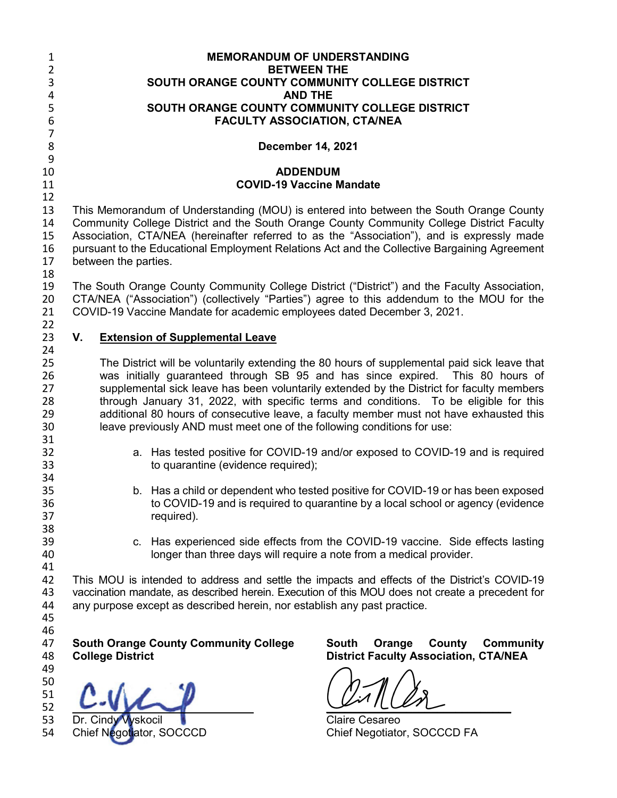| <b>MEMORANDUM OF UNDERSTANDING</b>                                                                                                                                                                                                                                           |                                                                                                                                                                                                                                                                                                                                                                                                                                                                                                                                                                                                                                                                                                                                                                                                                                                                                                                                                                                                                                                                                                                                                                                                                                                                                                                                                                                |  |
|------------------------------------------------------------------------------------------------------------------------------------------------------------------------------------------------------------------------------------------------------------------------------|--------------------------------------------------------------------------------------------------------------------------------------------------------------------------------------------------------------------------------------------------------------------------------------------------------------------------------------------------------------------------------------------------------------------------------------------------------------------------------------------------------------------------------------------------------------------------------------------------------------------------------------------------------------------------------------------------------------------------------------------------------------------------------------------------------------------------------------------------------------------------------------------------------------------------------------------------------------------------------------------------------------------------------------------------------------------------------------------------------------------------------------------------------------------------------------------------------------------------------------------------------------------------------------------------------------------------------------------------------------------------------|--|
| SOUTH ORANGE COUNTY COMMUNITY COLLEGE DISTRICT                                                                                                                                                                                                                               |                                                                                                                                                                                                                                                                                                                                                                                                                                                                                                                                                                                                                                                                                                                                                                                                                                                                                                                                                                                                                                                                                                                                                                                                                                                                                                                                                                                |  |
| <b>AND THE</b>                                                                                                                                                                                                                                                               |                                                                                                                                                                                                                                                                                                                                                                                                                                                                                                                                                                                                                                                                                                                                                                                                                                                                                                                                                                                                                                                                                                                                                                                                                                                                                                                                                                                |  |
| SOUTH ORANGE COUNTY COMMUNITY COLLEGE DISTRICT                                                                                                                                                                                                                               |                                                                                                                                                                                                                                                                                                                                                                                                                                                                                                                                                                                                                                                                                                                                                                                                                                                                                                                                                                                                                                                                                                                                                                                                                                                                                                                                                                                |  |
|                                                                                                                                                                                                                                                                              |                                                                                                                                                                                                                                                                                                                                                                                                                                                                                                                                                                                                                                                                                                                                                                                                                                                                                                                                                                                                                                                                                                                                                                                                                                                                                                                                                                                |  |
| <b>December 14, 2021</b>                                                                                                                                                                                                                                                     |                                                                                                                                                                                                                                                                                                                                                                                                                                                                                                                                                                                                                                                                                                                                                                                                                                                                                                                                                                                                                                                                                                                                                                                                                                                                                                                                                                                |  |
| <b>ADDENDUM</b>                                                                                                                                                                                                                                                              |                                                                                                                                                                                                                                                                                                                                                                                                                                                                                                                                                                                                                                                                                                                                                                                                                                                                                                                                                                                                                                                                                                                                                                                                                                                                                                                                                                                |  |
| <b>COVID-19 Vaccine Mandate</b>                                                                                                                                                                                                                                              |                                                                                                                                                                                                                                                                                                                                                                                                                                                                                                                                                                                                                                                                                                                                                                                                                                                                                                                                                                                                                                                                                                                                                                                                                                                                                                                                                                                |  |
|                                                                                                                                                                                                                                                                              |                                                                                                                                                                                                                                                                                                                                                                                                                                                                                                                                                                                                                                                                                                                                                                                                                                                                                                                                                                                                                                                                                                                                                                                                                                                                                                                                                                                |  |
| between the parties.                                                                                                                                                                                                                                                         |                                                                                                                                                                                                                                                                                                                                                                                                                                                                                                                                                                                                                                                                                                                                                                                                                                                                                                                                                                                                                                                                                                                                                                                                                                                                                                                                                                                |  |
|                                                                                                                                                                                                                                                                              |                                                                                                                                                                                                                                                                                                                                                                                                                                                                                                                                                                                                                                                                                                                                                                                                                                                                                                                                                                                                                                                                                                                                                                                                                                                                                                                                                                                |  |
| 19<br>20<br>CTA/NEA ("Association") (collectively "Parties") agree to this addendum to the MOU for the<br>21<br>COVID-19 Vaccine Mandate for academic employees dated December 3, 2021.                                                                                      |                                                                                                                                                                                                                                                                                                                                                                                                                                                                                                                                                                                                                                                                                                                                                                                                                                                                                                                                                                                                                                                                                                                                                                                                                                                                                                                                                                                |  |
| 22<br>23<br>V.<br><b>Extension of Supplemental Leave</b><br>24                                                                                                                                                                                                               |                                                                                                                                                                                                                                                                                                                                                                                                                                                                                                                                                                                                                                                                                                                                                                                                                                                                                                                                                                                                                                                                                                                                                                                                                                                                                                                                                                                |  |
| to quarantine (evidence required);<br>required).                                                                                                                                                                                                                             |                                                                                                                                                                                                                                                                                                                                                                                                                                                                                                                                                                                                                                                                                                                                                                                                                                                                                                                                                                                                                                                                                                                                                                                                                                                                                                                                                                                |  |
| c. Has experienced side effects from the COVID-19 vaccine. Side effects lasting<br>longer than three days will require a note from a medical provider.                                                                                                                       |                                                                                                                                                                                                                                                                                                                                                                                                                                                                                                                                                                                                                                                                                                                                                                                                                                                                                                                                                                                                                                                                                                                                                                                                                                                                                                                                                                                |  |
| This MOU is intended to address and settle the impacts and effects of the District's COVID-19<br>vaccination mandate, as described herein. Execution of this MOU does not create a precedent for<br>any purpose except as described herein, nor establish any past practice. |                                                                                                                                                                                                                                                                                                                                                                                                                                                                                                                                                                                                                                                                                                                                                                                                                                                                                                                                                                                                                                                                                                                                                                                                                                                                                                                                                                                |  |
| <b>South Orange County Community College</b><br><b>South</b><br><b>College District</b>                                                                                                                                                                                      | County<br><b>Community</b><br>Orange<br><b>District Faculty Association, CTA/NEA</b>                                                                                                                                                                                                                                                                                                                                                                                                                                                                                                                                                                                                                                                                                                                                                                                                                                                                                                                                                                                                                                                                                                                                                                                                                                                                                           |  |
| Dr. Cindy Vyskocil<br>Chief Negotiator, SOCCCD                                                                                                                                                                                                                               | Chief Negotiator, SOCCCD FA                                                                                                                                                                                                                                                                                                                                                                                                                                                                                                                                                                                                                                                                                                                                                                                                                                                                                                                                                                                                                                                                                                                                                                                                                                                                                                                                                    |  |
|                                                                                                                                                                                                                                                                              | <b>BETWEEN THE</b><br><b>FACULTY ASSOCIATION, CTA/NEA</b><br>This Memorandum of Understanding (MOU) is entered into between the South Orange County<br>Community College District and the South Orange County Community College District Faculty<br>Association, CTA/NEA (hereinafter referred to as the "Association"), and is expressly made<br>pursuant to the Educational Employment Relations Act and the Collective Bargaining Agreement<br>The South Orange County Community College District ("District") and the Faculty Association,<br>The District will be voluntarily extending the 80 hours of supplemental paid sick leave that<br>was initially guaranteed through SB 95 and has since expired. This 80 hours of<br>supplemental sick leave has been voluntarily extended by the District for faculty members<br>through January 31, 2022, with specific terms and conditions. To be eligible for this<br>additional 80 hours of consecutive leave, a faculty member must not have exhausted this<br>leave previously AND must meet one of the following conditions for use:<br>a. Has tested positive for COVID-19 and/or exposed to COVID-19 and is required<br>b. Has a child or dependent who tested positive for COVID-19 or has been exposed<br>to COVID-19 and is required to quarantine by a local school or agency (evidence<br><b>Claire Cesareo</b> |  |

Claire Cesareo<br>Chief Negotiator, SOCCCD FA